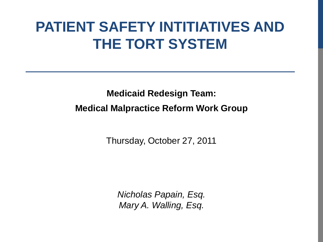# **PATIENT SAFETY INTITIATIVES AND THE TORT SYSTEM**

**Medicaid Redesign Team: Medical Malpractice Reform Work Group**

Thursday, October 27, 2011

*Nicholas Papain, Esq. Mary A. Walling, Esq.*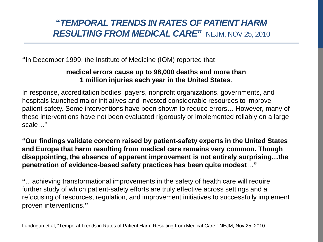# **"***TEMPORAL TRENDS IN RATES OF PATIENT HARM RESULTING FROM MEDICAL CARE"* NEJM, NOV 25, 2010

**"**In December 1999, the Institute of Medicine (IOM) reported that

### **medical errors cause up to 98,000 deaths and more than 1 million injuries each year in the United States**.

In response, accreditation bodies, payers, nonprofit organizations, governments, and hospitals launched major initiatives and invested considerable resources to improve patient safety. Some interventions have been shown to reduce errors… However, many of these interventions have not been evaluated rigorously or implemented reliably on a large scale…"

**"Our findings validate concern raised by patient-safety experts in the United States and Europe that harm resulting from medical care remains very common. Though disappointing, the absence of apparent improvement is not entirely surprising…the penetration of evidence-based safety practices has been quite modest**…**"**

**"**…achieving transformational improvements in the safety of health care will require further study of which patient-safety efforts are truly effective across settings and a refocusing of resources, regulation, and improvement initiatives to successfully implement proven interventions.**"**

Landrigan et al, "Temporal Trends in Rates of Patient Harm Resulting from Medical Care," NEJM, Nov 25, 2010.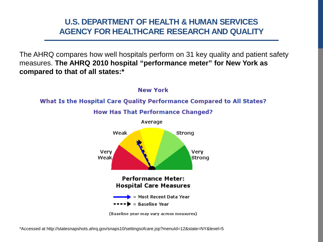# **U.S. DEPARTMENT OF HEALTH & HUMAN SERVICES AGENCY FOR HEALTHCARE RESEARCH AND QUALITY**

The AHRQ compares how well hospitals perform on 31 key quality and patient safety measures. **The AHRQ 2010 hospital "performance meter" for New York as compared to that of all states:\***



\*Accessed at http://statesnapshots.ahrq.gov/snaps10/settingsofcare.jsp?menuId=12&state=NY&level=5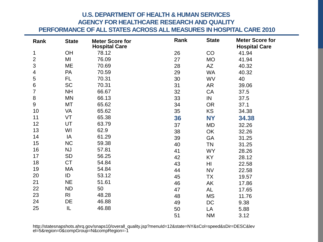# **U.S. DEPARTMENT OF HEALTH & HUMAN SERVICES AGENCY FOR HEALTHCARE RESEARCH AND QUALITY**

**PERFORMANCE OF ALL STATES ACROSS ALL MEASURES IN HOSPITAL CARE 2010**

| Rank                    | <b>State</b>   | <b>Meter Score for</b><br><b>Hospital Care</b> | Rank | <b>State</b> | <b>Meter Score for</b><br><b>Hospital Care</b> |
|-------------------------|----------------|------------------------------------------------|------|--------------|------------------------------------------------|
| 1                       | OH             | 78.12                                          | 26   | CO           | 41.94                                          |
| $\overline{\mathbf{c}}$ | MI             | 76.09                                          | 27   | <b>MO</b>    | 41.94                                          |
| 3                       | ME             | 70.69                                          | 28   | AZ           | 40.32                                          |
| 4                       | <b>PA</b>      | 70.59                                          | 29   | WA           | 40.32                                          |
| 5                       | FL.            | 70.31                                          | 30   | WV           | 40                                             |
| 6                       | <b>SC</b>      | 70.31                                          | 31   | AR           | 39.06                                          |
| $\overline{7}$          | NH             | 66.67                                          | 32   | CA           | 37.5                                           |
| 8                       | ΜN             | 66.13                                          | 33   | IN           | 37.5                                           |
| 9                       | МT             | 65.62                                          | 34   | <b>OR</b>    | 37.1                                           |
| 10                      | VA             | 65.62                                          | 35   | KS           | 34.38                                          |
| 11                      | VT             | 65.38                                          | 36   | <b>NY</b>    | 34.38                                          |
| 12                      | UT             | 63.79                                          | 37   | MD           | 32.26                                          |
| 13                      | WI             | 62.9                                           | 38   | OK           | 32.26                                          |
| 14                      | IA             | 61.29                                          | 39   | <b>GA</b>    | 31.25                                          |
| 15                      | <b>NC</b>      | 59.38                                          | 40   | <b>TN</b>    | 31.25                                          |
| 16                      | <b>NJ</b>      | 57.81                                          | 41   | <b>WY</b>    | 28.26                                          |
| 17                      | SD             | 56.25                                          | 42   | ΚY           | 28.12                                          |
| 18                      | <b>CT</b>      | 54.84                                          | 43   | HI           | 22.58                                          |
| 19                      | МA             | 54.84                                          | 44   | <b>NV</b>    | 22.58                                          |
| 20                      | ID             | 53.12                                          | 45   | TX           | 19.57                                          |
| 21                      | <b>NE</b>      | 51.61                                          | 46   | AK           | 17.86                                          |
| 22                      | <b>ND</b>      | 50                                             | 47   | AL           | 17.65                                          |
| 23                      | R <sub>l</sub> | 48.28                                          | 48   | MS           | 11.76                                          |
| 24                      | DE             | 46.88                                          | 49   | DC           | 9.38                                           |
| 25                      | IL             | 46.88                                          | 50   | LA           | 5.88                                           |
|                         |                |                                                | 51   | NM           | 3.12                                           |

http://statesnapshots.ahrq.gov/snaps10/overall\_quality.jsp?menuId=12&state=NY&sCol=speed&sDir=DESC&lev el=5&region=0&compGroup=N&compRegion=-1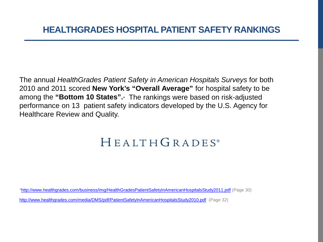# **HEALTHGRADES HOSPITAL PATIENT SAFETY RANKINGS**

The annual *HealthGrades Patient Safety in American Hospitals Surveys* for both 2010 and 2011 scored **New York's "Overall Average"** for hospital safety to be among the **"Bottom 10 States".**\*The rankings were based on risk-adjusted performance on 13 patient safety indicators developed by the U.S. Agency for Healthcare Review and Quality.

# HEALTHGRADES®

[\\*http://www.healthgrades.com/business/img/HealthGradesPatientSafetyInAmericanHospitalsStudy2011.pdf](http://www.healthgrades.com/business/img/HealthGradesPatientSafetyInAmericanHospitalsStudy2011.pdf) (Page 30)

<http://www.healthgrades.com/media/DMS/pdf/PatientSafetyInAmericanHospitalsStudy2010.pdf>(Page 32)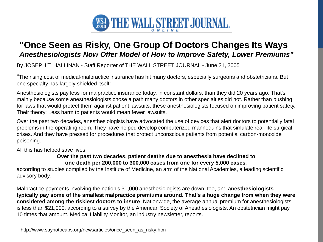

# **"Once Seen as Risky, One Group Of Doctors Changes Its Ways** *Anesthesiologists Now Offer Model of How to Improve Safety, Lower Premiums"*

By JOSEPH T. HALLINAN - Staff Reporter of THE WALL STREET JOURNAL - June 21, 2005

"The rising cost of medical-malpractice insurance has hit many doctors, especially surgeons and obstetricians. But one specialty has largely shielded itself:

Anesthesiologists pay less for malpractice insurance today, in constant dollars, than they did 20 years ago. That's mainly because some anesthesiologists chose a path many doctors in other specialties did not. Rather than pushing for laws that would protect them against patient lawsuits, these anesthesiologists focused on improving patient safety. Their theory: Less harm to patients would mean fewer lawsuits.

Over the past two decades, anesthesiologists have advocated the use of devices that alert doctors to potentially fatal problems in the operating room. They have helped develop computerized mannequins that simulate real-life surgical crises. And they have pressed for procedures that protect unconscious patients from potential carbon-monoxide poisoning.

All this has helped save lives.

#### **Over the past two decades, patient deaths due to anesthesia have declined to one death per 200,000 to 300,000 cases from one for every 5,000 cases**,

according to studies compiled by the Institute of Medicine, an arm of the National Academies, a leading scientific advisory body.

Malpractice payments involving the nation's 30,000 anesthesiologists are down, too, and **anesthesiologists typically pay some of the smallest malpractice premiums around. That's a huge change from when they were considered among the riskiest doctors to insure**. Nationwide, the average annual premium for anesthesiologists is less than \$21,000, according to a survey by the American Society of Anesthesiologists. An obstetrician might pay 10 times that amount, Medical Liability Monitor, an industry newsletter, reports.

http://www.saynotocaps.org/newsarticles/once\_seen\_as\_risky.htm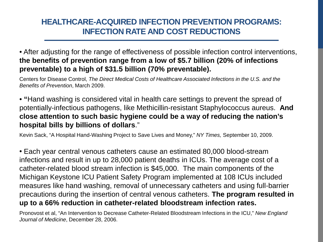# **HEALTHCARE-ACQUIRED INFECTION PREVENTION PROGRAMS: INFECTION RATE AND COST REDUCTIONS**

• After adjusting for the range of effectiveness of possible infection control interventions, **the benefits of prevention range from a low of \$5.7 billion (20% of infections preventable) to a high of \$31.5 billion (70% preventable).** 

Centers for Disease Control, *The Direct Medical Costs of Healthcare Associated Infections in the U.S. and the Benefits of Prevention*, March 2009.

• **"**Hand washing is considered vital in health care settings to prevent the spread of potentially-infectious pathogens, like Methicillin-resistant Staphylococcus aureus. **And close attention to such basic hygiene could be a way of reducing the nation's hospital bills by billions of dollars**."

Kevin Sack, "A Hospital Hand-Washing Project to Save Lives and Money," *NY Times,* September 10, 2009.

• Each year central venous catheters cause an estimated 80,000 blood-stream infections and result in up to 28,000 patient deaths in ICUs. The average cost of a catheter-related blood stream infection is \$45,000. The main components of the Michigan Keystone ICU Patient Safety Program implemented at 108 ICUs included measures like hand washing, removal of unnecessary catheters and using full-barrier precautions during the insertion of central venous catheters. **The program resulted in up to a 66% reduction in catheter-related bloodstream infection rates.** 

Pronovost et al, "An Intervention to Decrease Catheter-Related Bloodstream Infections in the ICU," *New England Journal of Medicine*, December 28, 2006.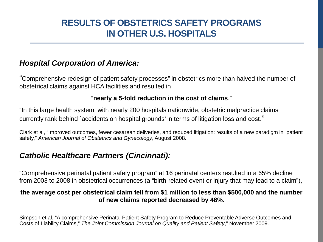# **RESULTS OF OBSTETRICS SAFETY PROGRAMS IN OTHER U.S. HOSPITALS**

# *Hospital Corporation of America:*

"Comprehensive redesign of patient safety processes" in obstetrics more than halved the number of obstetrical claims against HCA facilities and resulted in

### "**nearly a 5-fold reduction in the cost of claims**."

"In this large health system, with nearly 200 hospitals nationwide, obstetric malpractice claims currently rank behind `accidents on hospital grounds' in terms of litigation loss and cost."

Clark et al, "Improved outcomes, fewer cesarean deliveries, and reduced litigation: results of a new paradigm in patient safety," *American Journal of Obstetrics and Gynecology*, August 2008.

# *Catholic Healthcare Partners (Cincinnati):*

"Comprehensive perinatal patient safety program" at 16 perinatal centers resulted in a 65% decline from 2003 to 2008 in obstetrical occurrences (a "birth-related event or injury that may lead to a claim"),

### **the average cost per obstetrical claim fell from \$1 million to less than \$500,000 and the number of new claims reported decreased by 48%.**

Simpson et al, "A comprehensive Perinatal Patient Safety Program to Reduce Preventable Adverse Outcomes and Costs of Liability Claims," *The Joint Commission Journal on Quality and Patient Safety*," November 2009.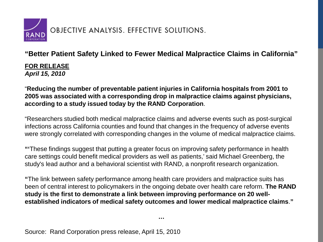

## **"Better Patient Safety Linked to Fewer Medical Malpractice Claims in California"**

**FOR RELEASE** *April 15, 2010*

"**Reducing the number of preventable patient injuries in California hospitals from 2001 to 2005 was associated with a corresponding drop in malpractice claims against physicians, according to a study issued today by the RAND Corporation**.

"Researchers studied both medical malpractice claims and adverse events such as post-surgical infections across California counties and found that changes in the frequency of adverse events were strongly correlated with corresponding changes in the volume of medical malpractice claims.

**"'**These findings suggest that putting a greater focus on improving safety performance in health care settings could benefit medical providers as well as patients,' said Michael Greenberg, the study's lead author and a behavioral scientist with RAND, a nonprofit research organization.

**"**The link between safety performance among health care providers and malpractice suits has been of central interest to policymakers in the ongoing debate over health care reform. **The RAND study is the first to demonstrate a link between improving performance on 20 wellestablished indicators of medical safety outcomes and lower medical malpractice claims**.**"**

**…**

Source: Rand Corporation press release, April 15, 2010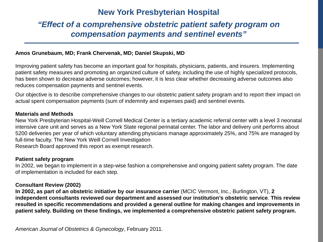# **New York Presbyterian Hospital**

# *"Effect of a comprehensive obstetric patient safety program on compensation payments and sentinel events"*

#### **Amos Grunebaum, MD; Frank Chervenak, MD; Daniel Skupski, MD**

Improving patient safety has become an important goal for hospitals, physicians, patients, and insurers. Implementing patient safety measures and promoting an organized culture of safety, including the use of highly specialized protocols, has been shown to decrease adverse outcomes; however, it is less clear whether decreasing adverse outcomes also reduces compensation payments and sentinel events.

Our objective is to describe comprehensive changes to our obstetric patient safety program and to report their impact on actual spent compensation payments (sum of indemnity and expenses paid) and sentinel events.

#### **Materials and Methods**

New York Presbyterian Hospital-Weill Cornell Medical Center is a tertiary academic referral center with a level 3 neonatal intensive care unit and serves as a New York State regional perinatal center. The labor and delivery unit performs about 5200 deliveries per year of which voluntary attending physicians manage approximately 25%, and 75% are managed by full-time faculty. The New York Weill Cornell Investigation Research Board approved this report as exempt research.

#### **Patient safety program**

In 2002, we began to implement in a step-wise fashion a comprehensive and ongoing patient safety program. The date of implementation is included for each step.

#### **Consultant Review (2002)**

**In 2002, as part of an obstetric initiative by our insurance carrier** (MCIC Vermont, Inc., Burlington, VT), **2 independent consultants reviewed our department and assessed our institution's obstetric service**. **This review resulted in specific recommendations and provided a general outline for making changes and improvements in patient safety. Building on these findings, we implemented a comprehensive obstetric patient safety program.**

*American Journal of Obstetrics & Gynecology*, February 2011.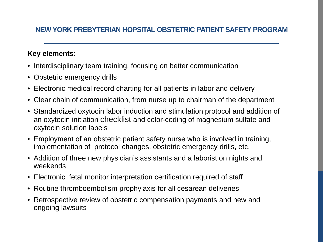## **NEW YORK PREBYTERIAN HOPSITAL OBSTETRIC PATIENT SAFETY PROGRAM**

### **Key elements:**

- Interdisciplinary team training, focusing on better communication
- Obstetric emergency drills
- Electronic medical record charting for all patients in labor and delivery
- Clear chain of communication, from nurse up to chairman of the department
- Standardized oxytocin labor induction and stimulation protocol and addition of an oxytocin initiation checklist and color-coding of magnesium sulfate and oxytocin solution labels
- Employment of an obstetric patient safety nurse who is involved in training, implementation of protocol changes, obstetric emergency drills, etc.
- Addition of three new physician's assistants and a laborist on nights and weekends
- Electronic fetal monitor interpretation certification required of staff
- Routine thromboembolism prophylaxis for all cesarean deliveries
- Retrospective review of obstetric compensation payments and new and ongoing lawsuits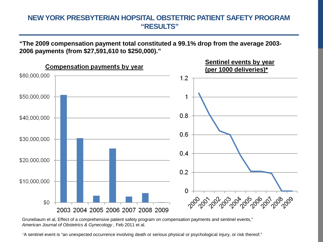### **NEW YORK PRESBYTERIAN HOPSITAL OBSTETRIC PATIENT SAFETY PROGRAM "RESULTS"**

**"The 2009 compensation payment total constituted a 99.1% drop from the average 2003- 2006 payments (from \$27,591,610 to \$250,000)."**



Grunebaum et al, Effect of a comprehensive patient safety program on compensation payments and sentinel events," American Journal of Obstetrics & Gynecology, Feb 2011 et al.

\*A sentinel event is "an unexpected occurrence involving death or serious physical or psychological injury, or risk thereof."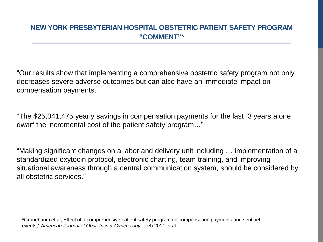# **NEW YORK PRESBYTERIAN HOSPITAL OBSTETRIC PATIENT SAFETY PROGRAM "COMMENT"***\**

"Our results show that implementing a comprehensive obstetric safety program not only decreases severe adverse outcomes but can also have an immediate impact on compensation payments."

"The \$25,041,475 yearly savings in compensation payments for the last 3 years alone dwarf the incremental cost of the patient safety program…"

"Making significant changes on a labor and delivery unit including … implementation of a standardized oxytocin protocol, electronic charting, team training, and improving situational awareness through a central communication system, should be considered by all obstetric services."

\*Grunebaum et al, Effect of a comprehensive patient safety program on compensation payments and sentinel events," *American Journal of Obstetrics & Gynecology ,* Feb 2011 et al.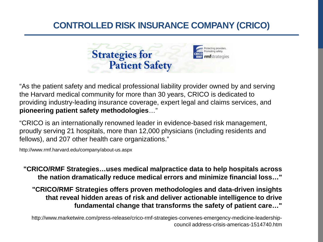# **CONTROLLED RISK INSURANCE COMPANY (CRICO)**



"As the patient safety and medical professional liability provider owned by and serving the Harvard medical community for more than 30 years, CRICO is dedicated to providing industry-leading insurance coverage, expert legal and claims services, and **pioneering patient safety methodologies**…"

"CRICO is an internationally renowned leader in evidence-based risk management, proudly serving 21 hospitals, more than 12,000 physicians (including residents and fellows), and 207 other health care organizations."

http://www.rmf.harvard.edu/company/about-us.aspx

**"CRICO/RMF Strategies…uses medical malpractice data to help hospitals across the nation dramatically reduce medical errors and minimize financial loss…"**

**"CRICO/RMF Strategies offers proven methodologies and data-driven insights that reveal hidden areas of risk and deliver actionable intelligence to drive fundamental change that transforms the safety of patient care…"**

http://www.marketwire.com/press-release/crico-rmf-strategies-convenes-emergency-medicine-leadershipcouncil address-crisis-americas-1514740.htm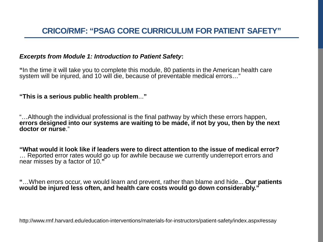### *Excerpts from Module 1: Introduction to Patient Safety***:**

**"**In the time it will take you to complete this module, 80 patients in the American health care system will be injured, and 10 will die, because of preventable medical errors…"

### **"This is a serious public health problem**...**"**

"…Although the individual professional is the final pathway by which these errors happen, **errors designed into our systems are waiting to be made, if not by you, then by the next doctor or nurse**."

**"What would it look like if leaders were to direct attention to the issue of medical error?**  … Reported error rates would go up for awhile because we currently underreport errors and near misses by a factor of 10.**"**

**"**…When errors occur, we would learn and prevent, rather than blame and hide... **Our patients would be injured less often, and health care costs would go down considerably."**

http://www.rmf.harvard.edu/education-interventions/materials-for-instructors/patient-safety/index.aspx#essay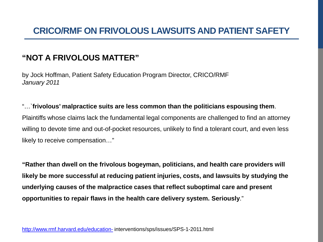# **"NOT A FRIVOLOUS MATTER"**

by Jock Hoffman, Patient Safety Education Program Director, CRICO/RMF *January 2011*

"…`**frivolous' malpractice suits are less common than the politicians espousing them**. Plaintiffs whose claims lack the fundamental legal components are challenged to find an attorney willing to devote time and out-of-pocket resources, unlikely to find a tolerant court, and even less likely to receive compensation…"

**"Rather than dwell on the frivolous bogeyman, politicians, and health care providers will likely be more successful at reducing patient injuries, costs, and lawsuits by studying the underlying causes of the malpractice cases that reflect suboptimal care and present opportunities to repair flaws in the health care delivery system. Seriously**."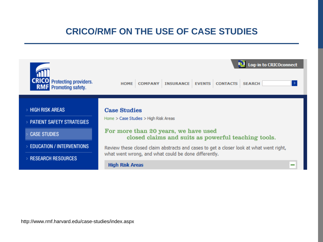# **CRICO/RMF ON THE USE OF CASE STUDIES**

| <b>CRICO</b> Protecting providers.<br><b>RMF</b> Promoting safety.                | <b>Log-in to CRICOconnect</b><br><b>COMPANY</b><br><b>INSURANCE EVENTS CONTACTS</b><br><b>SEARCH</b><br><b>HOME</b>                                         |
|-----------------------------------------------------------------------------------|-------------------------------------------------------------------------------------------------------------------------------------------------------------|
| <b>HIGH RISK AREAS</b><br><b>PATIENT SAFETY STRATEGIES</b><br><b>CASE STUDIES</b> | <b>Case Studies</b><br>Home > Case Studies > High Risk Areas<br>For more than 20 years, we have used<br>closed claims and suits as powerful teaching tools. |
| <b>EDUCATION / INTERVENTIONS</b><br><b>RESEARCH RESOURCES</b>                     | Review these closed claim abstracts and cases to get a closer look at what went right,<br>what went wrong, and what could be done differently.              |
|                                                                                   | <b>High Risk Areas</b><br>- 1                                                                                                                               |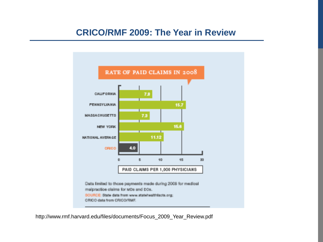# **CRICO/RMF 2009: The Year in Review**



http://www.rmf.harvard.edu/files/documents/Focus\_2009\_Year\_Review.pdf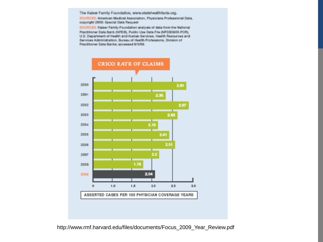The Kaiser Family Foundation, www.stabshealthfacts.org.

SOURCES: American Medical Association, Physicians Professional Data, copyright 2008: Special Data Request

SOURCES: Kasser Family Foundation analysis of data from the National Practitioner Data Bank (NPDB), Public Use Data File (NPDB0905.POR), U.S. Department of Health and Human Services, Health Resources and Services Administration, Bureau of Health Professions, Division of Practitioner Data Banks; accessed 9/3/09.

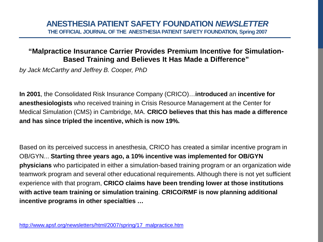### **"Malpractice Insurance Carrier Provides Premium Incentive for Simulation-Based Training and Believes It Has Made a Difference"**

*by Jack McCarthy and Jeffrey B. Cooper, PhD* 

**In 2001**, the Consolidated Risk Insurance Company (CRICO)…**introduced** an **incentive for anesthesiologists** who received training in Crisis Resource Management at the Center for Medical Simulation (CMS) in Cambridge, MA. **CRICO believes that this has made a difference and has since tripled the incentive, which is now 19%.**

Based on its perceived success in anesthesia, CRICO has created a similar incentive program in OB/GYN... **Starting three years ago, a 10% incentive was implemented for OB/GYN physicians** who participated in either a simulation-based training program or an organization wide teamwork program and several other educational requirements. Although there is not yet sufficient experience with that program, **CRICO claims have been trending lower at those institutions with active team training or simulation training**. **CRICO/RMF is now planning additional incentive programs in other specialties …**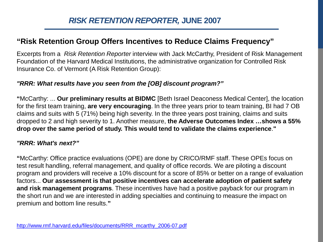# **"Risk Retention Group Offers Incentives to Reduce Claims Frequency"**

Excerpts from a *Risk Retention Reporter* interview with Jack McCarthy, President of Risk Management Foundation of the Harvard Medical Institutions, the administrative organization for Controlled Risk Insurance Co. of Vermont (A Risk Retention Group):

### *"RRR: What results have you seen from the [OB] discount program?"*

**"**McCarthy: ... **Our preliminary results at BIDMC** [Beth Israel Deaconess Medical Center], the location for the first team training, **are very encouraging**. In the three years prior to team training, BI had 7 OB claims and suits with 5 (71%) being high severity. In the three years post training, claims and suits dropped to 2 and high severity to 1. Another measure, **the Adverse Outcomes Index …shows a 55% drop over the same period of study. This would tend to validate the claims experience**.**"**

### *"RRR: What's next?"*

**"**McCarthy: Office practice evaluations (OPE) are done by CRICO/RMF staff. These OPEs focus on test result handling, referral management, and quality of office records. We are piloting a discount program and providers will receive a 10% discount for a score of 85% or better on a range of evaluation factors... **Our assessment is that positive incentives can accelerate adoption of patient safety and risk management programs**. These incentives have had a positive payback for our program in the short run and we are interested in adding specialties and continuing to measure the impact on premium and bottom line results.**"**